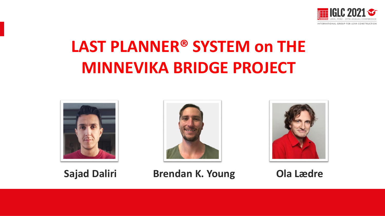

# **LAST PLANNER® SYSTEM on THE MINNEVIKA BRIDGE PROJECT**







**Sajad Daliri Brendan K. Young Ola Lædre**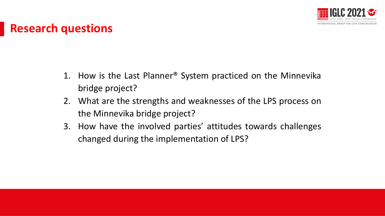

### **Research questions**

- 1. How is the Last Planner® System practiced on the Minnevika bridge project?
- 2. What are the strengths and weaknesses of the LPS process on the Minnevika bridge project?
- 3. How have the involved parties' attitudes towards challenges changed during the implementation of LPS?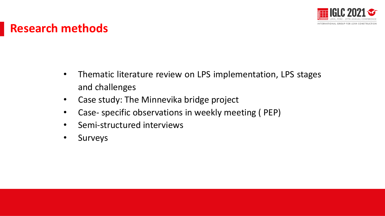

### **Research methods**

- Thematic literature review on LPS implementation, LPS stages and challenges
- Case study: The Minnevika bridge project
- Case- specific observations in weekly meeting (PEP)
- Semi-structured interviews
- Surveys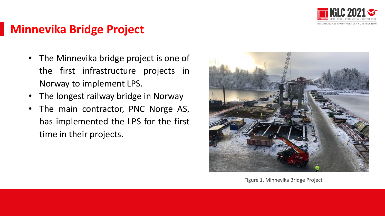

## **Minnevika Bridge Project**

- The Minnevika bridge project is one of the first infrastructure projects in Norway to implement LPS.
- The longest railway bridge in Norway
- The main contractor, PNC Norge AS, has implemented the LPS for the first time in their projects.



Figure 1. Minnevika Bridge Project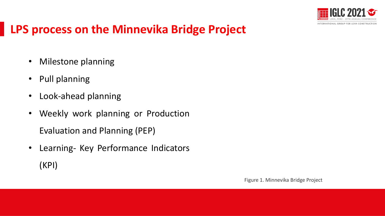

## **LPS process on the Minnevika Bridge Project**

- Milestone planning
- Pull planning
- Look-ahead planning
- Weekly work planning or Production Evaluation and Planning (PEP)
- Learning- Key Performance Indicators (KPI)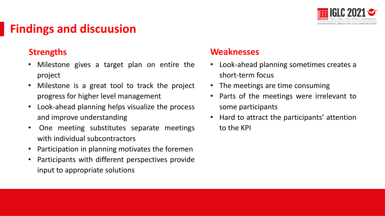

## **Findings and discuusion**

- Milestone gives a target plan on entire the project
- Milestone is a great tool to track the project progress for higher level management
- Presentación Presentación • Look-ahead planning helps visualize the process and improve understanding
- One meeting substitutes separate meetings with individual subcontractors
- Participation in planning motivates the foremen
- Participants with different perspectives provide input to appropriate solutions

### **Strengths Weaknesses**

- Look-ahead planning sometimes creates a short-term focus
- The meetings are time consuming
- Parts of the meetings were irrelevant to some participants
- re understanding  $\bullet$  Hard to attract the participants' attention to the KPI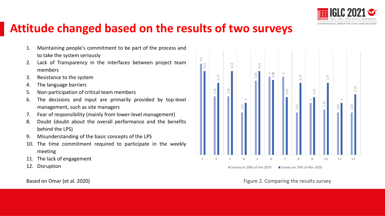

### **Attitude changed based on the results of two surveys**

- 1. Maintaining people's commitment to be part of the process and to take the system seriously
- 2. Lack of Transparency in the interfaces between project team members
- 3. Resistance to the system
- 4. The language barriers
- 5. Non-participation of critical team members
- 6. The decisions and input are primarily provided by top-level management, such as site managers
- 7. Fear of responsibility (mainly from lower-level management)
- 8. Doubt (doubt about the overall performance and the benefits behind the LPS)
- 9. Misunderstanding of the basic concepts of the LPS
- 10. The time commitment required to participate in the weekly meeting
- 11. The lack of engagement
- 12. Disruption



### Based on Omar (et al. 2020) **Figure 2. Comparing the results survey Figure 2. Comparing the results survey**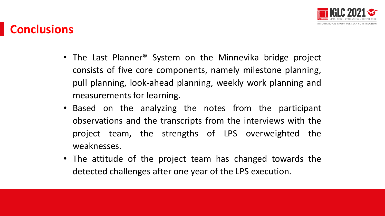

## **Conclusions**

- The Last Planner<sup>®</sup> System on the Minnevika bridge project consists of five core components, namely milestone planning, pull planning, look-ahead planning, weekly work planning and measurements for learning.
- Based on the analyzing the notes from the participant observations and the transcripts from the interviews with the project team, the strengths of LPS overweighted the weaknesses.
- The attitude of the project team has changed towards the detected challenges after one year of the LPS execution.